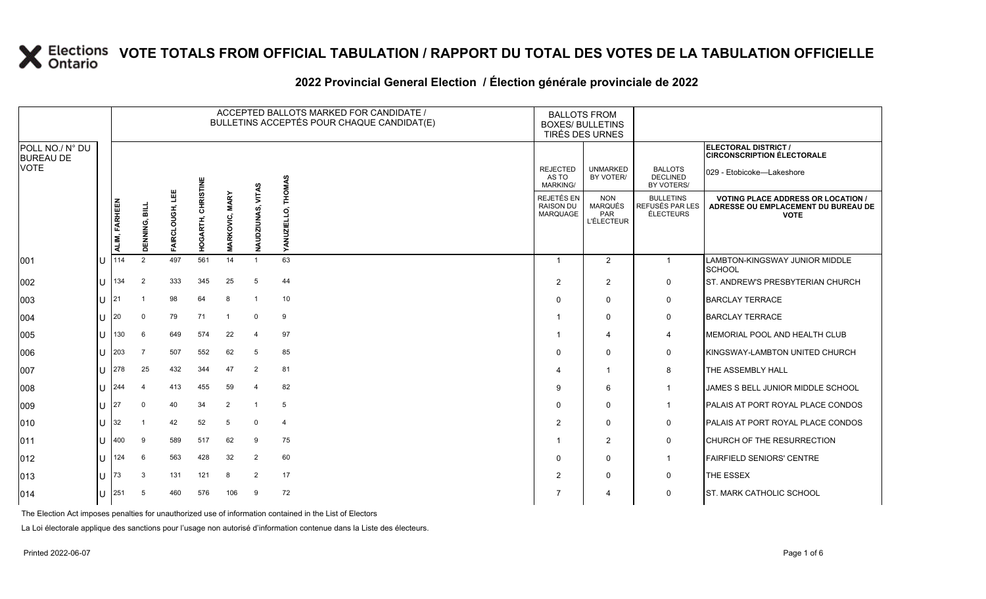#### 2022 Provincial General Election / Election générale provinciale de 2022

|                                     |    |               |                |                  |                           |                             |                      | ACCEPTED BALLOTS MARKED FOR CANDIDATE /<br>BULLETINS ACCEPTÉS POUR CHAQUE CANDIDAT(E) |                                             | <b>BALLOTS FROM</b><br><b>BOXES/ BULLETINS</b><br>TIRÉS DES URNES |                                                         |                                                                                                 |
|-------------------------------------|----|---------------|----------------|------------------|---------------------------|-----------------------------|----------------------|---------------------------------------------------------------------------------------|---------------------------------------------|-------------------------------------------------------------------|---------------------------------------------------------|-------------------------------------------------------------------------------------------------|
| POLL NO./ N° DU<br><b>BUREAU DE</b> |    |               |                |                  |                           |                             |                      |                                                                                       |                                             |                                                                   |                                                         | ELECTORAL DISTRICT /<br><b>CIRCONSCRIPTION ÉLECTORALE</b>                                       |
| VOTE                                |    |               |                |                  |                           |                             |                      | <b>THOMAS</b>                                                                         | <b>REJECTED</b><br>AS TO<br><b>MARKING/</b> | <b>UNMARKED</b><br>BY VOTER/                                      | <b>BALLOTS</b><br><b>DECLINED</b><br>BY VOTERS/         | 029 - Etobicoke-Lakeshore                                                                       |
|                                     |    | ALIM, FARHEEN | DENNING, BILL  | 삠<br>FAIRCLOUGH, | ARTH, CHRISTINE<br>о<br>Э | <b>MARY</b><br>RKOVIC,<br>Σ | VITAS<br>NAUDZIUNAS, | ELLO.<br>YANUZII                                                                      | REJETÉS EN<br><b>RAISON DU</b><br>MARQUAGE  | <b>NON</b><br><b>MARQUÉS</b><br><b>PAR</b><br><b>L'ÉLECTEUR</b>   | <b>BULLETINS</b><br>REFUSÉS PAR LES<br><b>ÉLECTEURS</b> | <b>VOTING PLACE ADDRESS OR LOCATION /</b><br>ADRESSE OU EMPLACEMENT DU BUREAU DE<br><b>VOTE</b> |
| 001                                 |    | 114           | 2              | 497              | 561                       | 14                          | $\overline{1}$       | 63                                                                                    |                                             | 2                                                                 | $\mathbf{1}$                                            | LAMBTON-KINGSWAY JUNIOR MIDDLE<br>SCHOOL                                                        |
| 002                                 |    | 134           | 2              | 333              | 345                       | 25                          | 5                    | 44                                                                                    | 2                                           | 2                                                                 | 0                                                       | ST. ANDREW'S PRESBYTERIAN CHURCH                                                                |
| 003                                 |    | 21            | -1             | 98               | 64                        | 8                           | $\overline{1}$       | 10                                                                                    | $\Omega$                                    | $\mathbf 0$                                                       | $\mathbf 0$                                             | <b>BARCLAY TERRACE</b>                                                                          |
| 004                                 |    | 20            | $\mathbf 0$    | 79               | 71                        | $\overline{1}$              | $\mathbf 0$          | 9                                                                                     |                                             | $\mathbf 0$                                                       | 0                                                       | <b>BARCLAY TERRACE</b>                                                                          |
| 005                                 |    | 130           | 6              | 649              | 574                       | 22                          | $\overline{4}$       | 97                                                                                    |                                             | $\overline{4}$                                                    | 4                                                       | IMEMORIAL POOL AND HEALTH CLUB                                                                  |
| 006                                 |    | 203           | 7              | 507              | 552                       | 62                          | 5                    | 85                                                                                    | $\Omega$                                    | $\Omega$                                                          | $\mathbf 0$                                             | KINGSWAY-LAMBTON UNITED CHURCH                                                                  |
| 007                                 |    | 278           | 25             | 432              | 344                       | 47                          | $\overline{2}$       | 81                                                                                    |                                             | $\overline{1}$                                                    | 8                                                       | THE ASSEMBLY HALL                                                                               |
| 008                                 | IП | 244           | $\overline{4}$ | 413              | 455                       | 59                          | $\overline{4}$       | 82                                                                                    | 9                                           | 6                                                                 | $\overline{1}$                                          | JAMES S BELL JUNIOR MIDDLE SCHOOL                                                               |
| 009                                 |    | 27            | $\Omega$       | 40               | 34                        | $\overline{2}$              | -1                   | 5                                                                                     | $\Omega$                                    | $\mathbf 0$                                                       | $\overline{1}$                                          | PALAIS AT PORT ROYAL PLACE CONDOS                                                               |
| 010                                 |    | 32            | -1             | 42               | 52                        | 5                           | $\mathbf 0$          | $\overline{4}$                                                                        | $\overline{2}$                              | $\Omega$                                                          | $\mathbf 0$                                             | PALAIS AT PORT ROYAL PLACE CONDOS                                                               |
| 011                                 |    | 400           | 9              | 589              | 517                       | 62                          | 9                    | 75                                                                                    |                                             | 2                                                                 | $\mathbf 0$                                             | <b>CHURCH OF THE RESURRECTION</b>                                                               |
| 012                                 |    | 124           | 6              | 563              | 428                       | 32                          | $\overline{2}$       | 60                                                                                    | $\Omega$                                    | $\mathbf 0$                                                       | $\mathbf{1}$                                            | <b>FAIRFIELD SENIORS' CENTRE</b>                                                                |
| 013                                 |    | 73            | 3              | 131              | 121                       | 8                           | 2                    | 17                                                                                    | $\overline{2}$                              | $\mathbf 0$                                                       | $\mathbf 0$                                             | THE ESSEX                                                                                       |
| 014                                 |    | 251           | 5              | 460              | 576                       | 106                         | 9                    | 72                                                                                    |                                             | 4                                                                 | 0                                                       | <b>ST. MARK CATHOLIC SCHOOL</b>                                                                 |

The Election Act imposes penalties for unauthorized use of information contained in the List of Electors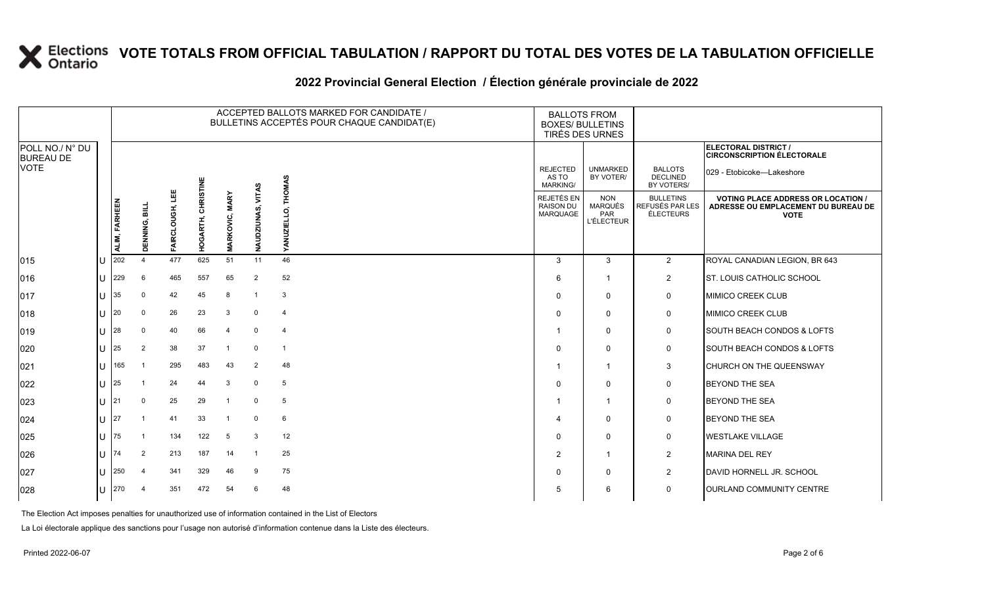### **2022 Provincial General Election / Élection générale provinciale de 2022**

|                                     |    |               |                |                  |                    |                       |                      | ACCEPTED BALLOTS MARKED FOR CANDIDATE /<br>BULLETINS ACCEPTÉS POUR CHAQUE CANDIDAT(E) | <b>BOXES/ BULLETINS</b>                     | <b>BALLOTS FROM</b><br>TIRÉS DES URNES                   |                                                         |                                                                                                 |
|-------------------------------------|----|---------------|----------------|------------------|--------------------|-----------------------|----------------------|---------------------------------------------------------------------------------------|---------------------------------------------|----------------------------------------------------------|---------------------------------------------------------|-------------------------------------------------------------------------------------------------|
| POLL NO./ N° DU<br><b>BUREAU DE</b> |    |               |                |                  |                    |                       |                      |                                                                                       |                                             |                                                          |                                                         | ELECTORAL DISTRICT /<br><b>CIRCONSCRIPTION ÉLECTORALE</b>                                       |
| <b>VOTE</b>                         |    |               |                |                  |                    |                       |                      | ٩S<br>훙                                                                               | <b>REJECTED</b><br>AS TO<br><b>MARKING/</b> | <b>UNMARKED</b><br>BY VOTER/                             | <b>BALLOTS</b><br><b>DECLINED</b><br>BY VOTERS/         | 029 - Etobicoke—Lakeshore                                                                       |
|                                     |    | ALIM, FARHEEN | DENNING, BILI  | 삠<br>FAIRCLOUGH, | HOGARTH, CHRISTINE | <b>MARKOVIC, MARY</b> | VITAS<br>NAUDZIUNAS, | 혼<br>∍<br>YAN                                                                         | REJETÉS EN<br><b>RAISON DU</b><br>MARQUAGE  | <b>NON</b><br><b>MARQUÉS</b><br>PAR<br><b>L'ÉLECTEUR</b> | <b>BULLETINS</b><br>REFUSÉS PAR LES<br><b>ÉLECTEURS</b> | <b>VOTING PLACE ADDRESS OR LOCATION /</b><br>ADRESSE OU EMPLACEMENT DU BUREAU DE<br><b>VOTE</b> |
| $ 015\rangle$                       | lu | 202           |                | 477              | 625                | 51                    | 11                   | 46                                                                                    | 3                                           | $\mathbf{3}$                                             | $\overline{2}$                                          | ROYAL CANADIAN LEGION, BR 643                                                                   |
| 016                                 | lu | 229           | 6              | 465              | 557                | 65                    | $\overline{2}$       | 52                                                                                    | 6                                           | 1                                                        | $\overline{2}$                                          | <b>ST. LOUIS CATHOLIC SCHOOL</b>                                                                |
| 017                                 | lu | 35            | $\Omega$       | 42               | 45                 | 8                     | $\overline{1}$       | 3                                                                                     | 0                                           | $\mathbf 0$                                              | 0                                                       | MIMICO CREEK CLUB                                                                               |
| $ 018\rangle$                       | lu | 20            | $\mathbf 0$    | 26               | 23                 | 3                     | 0                    | $\overline{4}$                                                                        | $\Omega$                                    | $\mathbf 0$                                              | $\mathbf 0$                                             | <b>MIMICO CREEK CLUB</b>                                                                        |
| $ 019\rangle$                       | lu | 28            | $\mathbf 0$    | 40               | 66                 | $\overline{4}$        | $\mathbf 0$          | $\overline{4}$                                                                        |                                             | $\mathbf 0$                                              | 0                                                       | <b>SOUTH BEACH CONDOS &amp; LOFTS</b>                                                           |
| 020                                 | lu | 25            | 2              | 38               | 37                 | -1                    | $\mathbf 0$          | $\overline{1}$                                                                        | $\Omega$                                    | $\mathbf 0$                                              | 0                                                       | SOUTH BEACH CONDOS & LOFTS                                                                      |
| 021                                 | lu | 165           | $\overline{1}$ | 295              | 483                | 43                    | $\overline{2}$       | 48                                                                                    |                                             | $\overline{1}$                                           | $\mathbf{3}$                                            | CHURCH ON THE QUEENSWAY                                                                         |
| 022                                 | Iυ | 25            |                | 24               | 44                 | 3                     | $\mathbf 0$          | 5                                                                                     | 0                                           | $\mathbf 0$                                              | 0                                                       | <b>BEYOND THE SEA</b>                                                                           |
| 023                                 | lu | 21            | $\Omega$       | 25               | 29                 | $\overline{1}$        | $\mathbf 0$          | $5\phantom{.0}$                                                                       |                                             | $\overline{1}$                                           | $\mathbf 0$                                             | <b>BEYOND THE SEA</b>                                                                           |
| 024                                 | lu | 27            | -1             | 41               | 33                 | -1                    | $\mathbf 0$          | 6                                                                                     |                                             | $\mathbf 0$                                              | $\mathbf 0$                                             | <b>BEYOND THE SEA</b>                                                                           |
| 025                                 | Iυ | 75            |                | 134              | 122                | 5                     | 3                    | 12                                                                                    | 0                                           | $\mathbf 0$                                              | $\mathbf 0$                                             | <b>WESTLAKE VILLAGE</b>                                                                         |
| 026                                 | lu | 74            | 2              | 213              | 187                | 14                    | - 1                  | 25                                                                                    | $\overline{2}$                              | $\overline{1}$                                           | $\overline{2}$                                          | <b>MARINA DEL REY</b>                                                                           |
| 027                                 | lu | 250           | 4              | 341              | 329                | 46                    | 9                    | 75                                                                                    | 0                                           | $\mathbf 0$                                              | $\overline{2}$                                          | DAVID HORNELL JR. SCHOOL                                                                        |
| 028                                 | Iυ | 270           |                | 351              | 472                | 54                    | 6                    | 48                                                                                    | 5                                           | 6                                                        | 0                                                       | <b>OURLAND COMMUNITY CENTRE</b>                                                                 |

The Election Act imposes penalties for unauthorized use of information contained in the List of Electors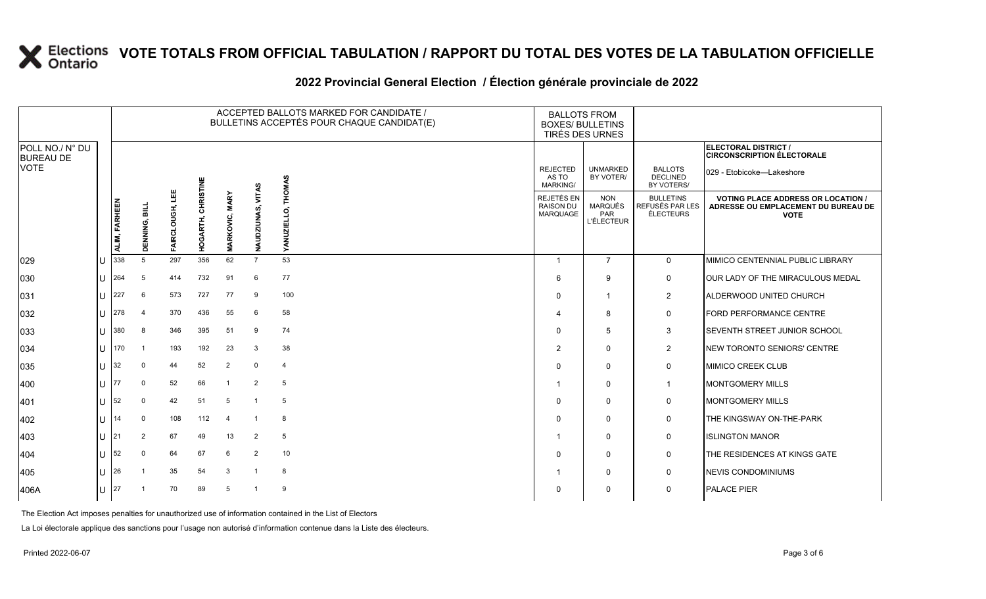### **2022 Provincial General Election / Élection générale provinciale de 2022**

|                                     |     |               |                |                  |                       |                       |                      | ACCEPTED BALLOTS MARKED FOR CANDIDATE /<br>BULLETINS ACCEPTÉS POUR CHAQUE CANDIDAT(E) | <b>BALLOTS FROM</b><br><b>BOXES/ BULLETINS</b> | TIRÉS DES URNES                                   |                                                         |                                                                                                 |
|-------------------------------------|-----|---------------|----------------|------------------|-----------------------|-----------------------|----------------------|---------------------------------------------------------------------------------------|------------------------------------------------|---------------------------------------------------|---------------------------------------------------------|-------------------------------------------------------------------------------------------------|
| POLL NO./ N° DU<br><b>BUREAU DE</b> |     |               |                |                  |                       |                       |                      |                                                                                       |                                                |                                                   |                                                         | <b>ELECTORAL DISTRICT /</b><br><b>CIRCONSCRIPTION ÉLECTORALE</b>                                |
| <b>VOTE</b>                         |     |               |                |                  |                       |                       |                      | <b>THOMAS</b>                                                                         | <b>REJECTED</b><br>AS TO<br><b>MARKING/</b>    | <b>UNMARKED</b><br>BY VOTER/                      | <b>BALLOTS</b><br><b>DECLINED</b><br>BY VOTERS/         | 029 - Etobicoke-Lakeshore                                                                       |
|                                     |     | ALIM, FARHEEN | DENNING, BILL  | 삠<br>FAIRCLOUGH, | CHRISTINE<br>HOGARTH, | <b>MARKOVIC, MARY</b> | VITAS<br>NAUDZIUNAS, | റ<br>YANUZI                                                                           | REJETÉS EN<br><b>RAISON DU</b><br>MARQUAGE     | <b>NON</b><br>MARQUÉS<br>PAR<br><b>L'ÉLECTEUR</b> | <b>BULLETINS</b><br>REFUSÉS PAR LES<br><b>ÉLECTEURS</b> | <b>VOTING PLACE ADDRESS OR LOCATION /</b><br>ADRESSE OU EMPLACEMENT DU BUREAU DE<br><b>VOTE</b> |
| 029                                 |     | 338           | 5              | 297              | 356                   | 62                    | $\overline{7}$       | 53                                                                                    | $\mathbf 1$                                    | $\overline{7}$                                    | $\mathbf{0}$                                            | MIMICO CENTENNIAL PUBLIC LIBRARY                                                                |
| 030                                 | lu  | 264           | 5              | 414              | 732                   | 91                    | 6                    | 77                                                                                    | 6                                              | 9                                                 | 0                                                       | OUR LADY OF THE MIRACULOUS MEDAL                                                                |
| 031                                 | IП  | 227           | 6              | 573              | 727                   | 77                    | 9                    | 100                                                                                   | $\Omega$                                       | $\overline{1}$                                    | $\overline{2}$                                          | ALDERWOOD UNITED CHURCH                                                                         |
| 032                                 | IП  | 278           | $\overline{a}$ | 370              | 436                   | 55                    | 6                    | 58                                                                                    |                                                | 8                                                 | 0                                                       | FORD PERFORMANCE CENTRE                                                                         |
| 033                                 | lu  | 380           | 8              | 346              | 395                   | 51                    | 9                    | 74                                                                                    | $\mathbf{0}$                                   | 5                                                 | 3                                                       | <b>SEVENTH STREET JUNIOR SCHOOL</b>                                                             |
| 034                                 | ΙU  | 170           |                | 193              | 192                   | 23                    | 3                    | 38                                                                                    | 2                                              | $\mathbf 0$                                       | $\overline{2}$                                          | NEW TORONTO SENIORS' CENTRE                                                                     |
| 035                                 | ΙU  | 32            | $\Omega$       | 44               | 52                    | $\overline{2}$        | $\mathbf 0$          | $\overline{4}$                                                                        | $\Omega$                                       | $\mathbf 0$                                       | 0                                                       | MIMICO CREEK CLUB                                                                               |
| 400                                 | lυ  | 77            | $\mathbf 0$    | 52               | 66                    |                       | $\overline{2}$       | 5                                                                                     |                                                | $\mathbf 0$                                       | $\mathbf{1}$                                            | <b>MONTGOMERY MILLS</b>                                                                         |
| 401                                 | IU. | 52            | $\mathbf 0$    | 42               | 51                    | 5                     | $\overline{1}$       | 5                                                                                     | $\Omega$                                       | $\mathbf 0$                                       | 0                                                       | <b>MONTGOMERY MILLS</b>                                                                         |
| 402                                 | lθ  | 14            | $\mathbf 0$    | 108              | 112                   | $\overline{4}$        | $\overline{1}$       | 8                                                                                     | $\Omega$                                       | $\Omega$                                          | $\mathbf 0$                                             | THE KINGSWAY ON-THE-PARK                                                                        |
| 403                                 | lU  | 21            | 2              | 67               | 49                    | 13                    | $\overline{2}$       | 5                                                                                     |                                                | $\mathbf 0$                                       | 0                                                       | <b>ISLINGTON MANOR</b>                                                                          |
| 404                                 | IU. | 52            | $\Omega$       | 64               | 67                    | 6                     | $\overline{2}$       | 10                                                                                    | $\Omega$                                       | $\mathbf 0$                                       | 0                                                       | THE RESIDENCES AT KINGS GATE                                                                    |
| 405                                 | lθ  | 26            |                | 35               | 54                    | 3                     | $\overline{1}$       | 8                                                                                     |                                                | $\Omega$                                          | $\mathbf 0$                                             | NEVIS CONDOMINIUMS                                                                              |
| 406A                                | lu. | 27            |                | 70               | 89                    | 5                     |                      | 9                                                                                     | $\Omega$                                       | $\mathbf 0$                                       | 0                                                       | <b>PALACE PIER</b>                                                                              |

The Election Act imposes penalties for unauthorized use of information contained in the List of Electors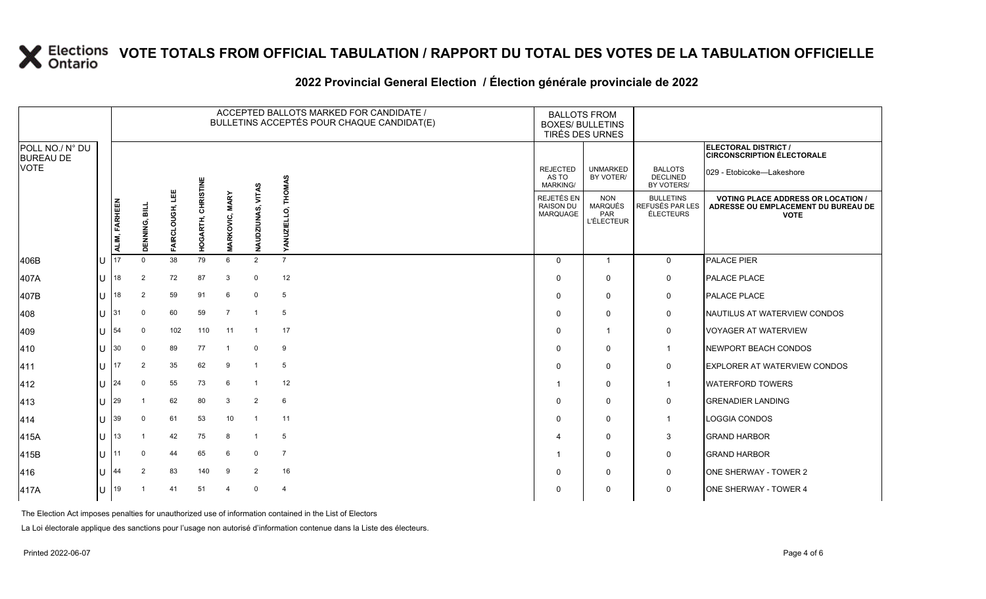#### **2022 Provincial General Election / Élection générale provinciale de 2022**

|                                     |    |                      |                |                  |                    |                       |                   | ACCEPTED BALLOTS MARKED FOR CANDIDATE /<br>BULLETINS ACCEPTÉS POUR CHAQUE CANDIDAT(E) | <b>BALLOTS FROM</b><br><b>BOXES/ BULLETINS</b> | TIRÉS DES URNES                                          |                                                         |                                                                                                 |
|-------------------------------------|----|----------------------|----------------|------------------|--------------------|-----------------------|-------------------|---------------------------------------------------------------------------------------|------------------------------------------------|----------------------------------------------------------|---------------------------------------------------------|-------------------------------------------------------------------------------------------------|
| POLL NO./ N° DU<br><b>BUREAU DE</b> |    |                      |                |                  |                    |                       |                   |                                                                                       |                                                |                                                          |                                                         | <b>ELECTORAL DISTRICT /</b><br><b>CIRCONSCRIPTION ÉLECTORALE</b>                                |
| <b>VOTE</b>                         |    |                      |                |                  |                    |                       |                   | <b>CHOMAS</b>                                                                         | <b>REJECTED</b><br>AS TO<br><b>MARKING/</b>    | <b>UNMARKED</b><br>BY VOTER/                             | <b>BALLOTS</b><br><b>DECLINED</b><br>BY VOTERS/         | 029 - Etobicoke—Lakeshore                                                                       |
|                                     |    | <b>ALIM, FARHEEN</b> | DENNING, BILI  | 삠<br>FAIRCLOUGH, | HOGARTH, CHRISTINE | <b>MARKOVIC, MARY</b> | NAUDZIUNAS, VITAS | Ŋ<br><b>VAN</b>                                                                       | REJETÉS EN<br><b>RAISON DU</b><br>MARQUAGE     | <b>NON</b><br><b>MARQUÉS</b><br>PAR<br><b>L'ÉLECTEUR</b> | <b>BULLETINS</b><br>REFUSÉS PAR LES<br><b>ÉLECTEURS</b> | <b>VOTING PLACE ADDRESS OR LOCATION /</b><br>ADRESSE OU EMPLACEMENT DU BUREAU DE<br><b>VOTE</b> |
| 406B                                | lU | 17                   | $\Omega$       | 38               | 79                 | 6                     | 2                 | $\overline{7}$                                                                        | $\Omega$                                       | $\mathbf{1}$                                             | $\mathbf{0}$                                            | PALACE PIER                                                                                     |
| 407A                                | lu | 18                   | 2              | 72               | 87                 | 3                     | $\mathbf 0$       | 12                                                                                    | $\Omega$                                       | $\mathbf 0$                                              | $\mathbf 0$                                             | PALACE PLACE                                                                                    |
| 407B                                | IП | 18                   | 2              | 59               | 91                 | 6                     | $\mathbf 0$       | 5                                                                                     | $\Omega$                                       | $\mathbf 0$                                              | 0                                                       | PALACE PLACE                                                                                    |
| 408                                 | lU | 31                   | 0              | 60               | 59                 | $\overline{7}$        | $\overline{1}$    | 5                                                                                     | $\Omega$                                       | $\mathbf 0$                                              | $\mathsf{O}$                                            | NAUTILUS AT WATERVIEW CONDOS                                                                    |
| 409                                 | lu | 54                   | 0              | 102              | 110                | 11                    | $\overline{1}$    | 17                                                                                    | $\Omega$                                       | $\mathbf 1$                                              | $\mathsf{O}$                                            | <b>VOYAGER AT WATERVIEW</b>                                                                     |
| 410                                 | lθ | 30                   | 0              | 89               | 77                 |                       | $\mathbf 0$       | 9                                                                                     | $\Omega$                                       | $\mathbf 0$                                              | $\mathbf{1}$                                            | NEWPORT BEACH CONDOS                                                                            |
| 411                                 | lu | 17                   | 2              | 35               | 62                 | 9                     | $\overline{1}$    | 5                                                                                     | $\Omega$                                       | $\mathbf 0$                                              | $\mathbf 0$                                             | <b>EXPLORER AT WATERVIEW CONDOS</b>                                                             |
| 412                                 | lu | 24                   | $\mathbf 0$    | 55               | 73                 | 6                     | $\overline{1}$    | 12                                                                                    |                                                | 0                                                        | $\mathbf{1}$                                            | <b>WATERFORD TOWERS</b>                                                                         |
| 413                                 | lu | 29                   |                | 62               | 80                 | 3                     | $\overline{2}$    | 6                                                                                     | $\Omega$                                       | $\mathbf 0$                                              | $\mathbf 0$                                             | <b>GRENADIER LANDING</b>                                                                        |
| 414                                 | lu | 39                   | $\mathbf 0$    | 61               | 53                 | 10                    | $\overline{1}$    | 11                                                                                    | $\Omega$                                       | $\Omega$                                                 | $\overline{1}$                                          | LOGGIA CONDOS                                                                                   |
| 415A                                | lυ | 13                   |                | 42               | 75                 | 8                     | $\overline{1}$    | 5                                                                                     |                                                | 0                                                        | 3                                                       | <b>GRAND HARBOR</b>                                                                             |
| 415B                                | lu | 11                   | 0              | 44               | 65                 | 6                     | 0                 | $\overline{7}$                                                                        |                                                | $\mathbf 0$                                              | $\mathsf{O}$                                            | <b>GRAND HARBOR</b>                                                                             |
| 416                                 | lu | 44                   | $\overline{2}$ | 83               | 140                | 9                     | $\overline{2}$    | 16                                                                                    | $\Omega$                                       | $\mathbf 0$                                              | $\mathbf 0$                                             | ONE SHERWAY - TOWER 2                                                                           |
| 417A                                | lU | 19                   |                | 41               | 51                 | 4                     | $\mathbf 0$       | $\overline{4}$                                                                        | $\Omega$                                       | 0                                                        | $\mathbf 0$                                             | ONE SHERWAY - TOWER 4                                                                           |

The Election Act imposes penalties for unauthorized use of information contained in the List of Electors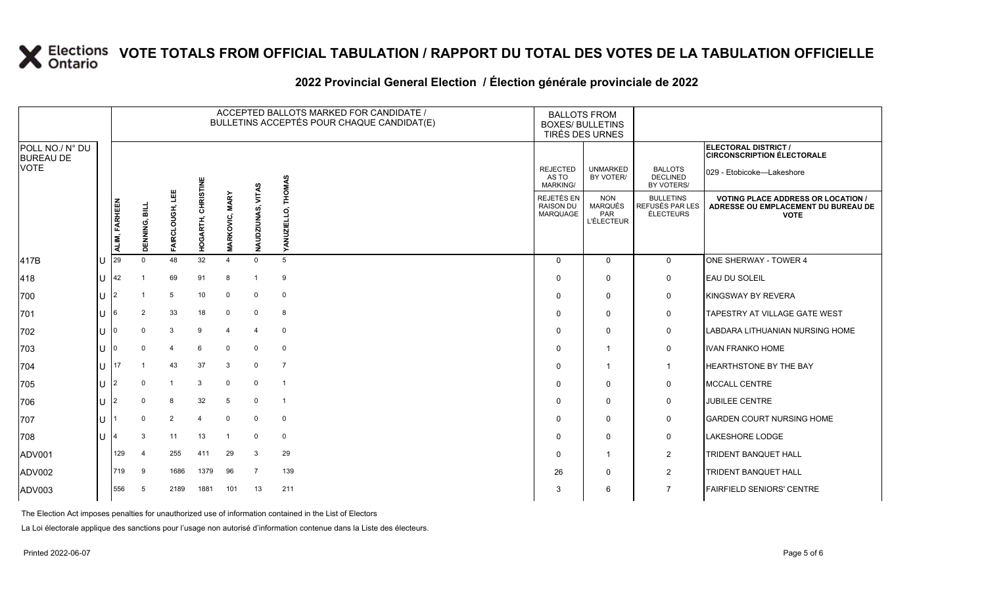#### **2022 Provincial General Election / Élection générale provinciale de 2022**

|                                     |         |               |               |                  |                       |                    |                         | ACCEPTED BALLOTS MARKED FOR CANDIDATE /<br>BULLETINS ACCEPTÉS POUR CHAQUE CANDIDAT(E) | <b>BALLOTS FROM</b><br><b>BOXES/ BULLETINS</b><br>TIRÉS DES URNES |                                                                 |                                                  |                                                                                                 |
|-------------------------------------|---------|---------------|---------------|------------------|-----------------------|--------------------|-------------------------|---------------------------------------------------------------------------------------|-------------------------------------------------------------------|-----------------------------------------------------------------|--------------------------------------------------|-------------------------------------------------------------------------------------------------|
| POLL NO./ N° DU<br><b>BUREAU DE</b> |         |               |               |                  |                       |                    |                         |                                                                                       |                                                                   |                                                                 |                                                  | ELECTORAL DISTRICT /<br><b>CIRCONSCRIPTION ÉLECTORALE</b>                                       |
| <b>VOTE</b>                         |         |               |               |                  |                       |                    |                         | <b>THOMAS</b>                                                                         | <b>REJECTED</b><br>AS TO<br><b>MARKING/</b>                       | <b>UNMARKED</b><br>BY VOTER/                                    | <b>BALLOTS</b><br><b>DECLINED</b><br>BY VOTERS/  | 029 - Etobicoke-Lakeshore                                                                       |
|                                     |         | ALIM, FARHEEN | DENNING, BILL | 삠<br>FAIRCLOUGH, | CHRISTINE<br>HOGARTH, | ARKOVIC, MARY<br>Σ | VITAS<br>DZIUNAS,<br>WN | d<br>≻                                                                                | <b>REJETÉS EN</b><br><b>RAISON DU</b><br>MARQUAGE                 | <b>NON</b><br><b>MARQUÉS</b><br><b>PAR</b><br><b>L'ÉLECTEUR</b> | <b>BULLETINS</b><br>REFUSÉS PAR LES<br>ÉLECTEURS | <b>VOTING PLACE ADDRESS OR LOCATION /</b><br>ADRESSE OU EMPLACEMENT DU BUREAU DE<br><b>VOTE</b> |
| 417B                                | U       | 29            | $\Omega$      | 48               | 32                    | $\Delta$           | $\Omega$                | 5                                                                                     | $\Omega$                                                          | $\mathbf 0$                                                     | $\mathbf 0$                                      | ONE SHERWAY - TOWER 4                                                                           |
| 418                                 |         | $U$ 42        |               | 69               | 91                    | 8                  | -1                      | 9                                                                                     | $\Omega$                                                          | $\mathbf 0$                                                     | $\mathbf 0$                                      | EAU DU SOLEIL                                                                                   |
| 700                                 | U $ 2 $ |               |               | 5                | 10                    | $\mathbf 0$        | $\mathbf 0$             | $\mathbf 0$                                                                           | $\Omega$                                                          | $\mathbf 0$                                                     | 0                                                | KINGSWAY BY REVERA                                                                              |
| 701                                 | U       | $\sqrt{6}$    | 2             | 33               | 18                    | $\mathbf 0$        | $\mathbf 0$             | 8                                                                                     | $\Omega$                                                          | $\mathbf 0$                                                     | $\mathbf 0$                                      | <b>TAPESTRY AT VILLAGE GATE WEST</b>                                                            |
| 702                                 | $U$   0 |               | $\Omega$      | 3                | 9                     | $\overline{4}$     | $\overline{4}$          | $\mathbf 0$                                                                           | $\Omega$                                                          | $\mathbf 0$                                                     | 0                                                | LABDARA LITHUANIAN NURSING HOME                                                                 |
| 703                                 | $U$  0  |               |               | $\overline{4}$   | 6                     | $\mathbf 0$        | $\Omega$                | $\mathbf 0$                                                                           | $\Omega$                                                          | $\overline{\mathbf{1}}$                                         | $\mathbf 0$                                      | <b>IVAN FRANKO HOME</b>                                                                         |
| 704                                 |         | $11$ 17       |               | 43               | 37                    | 3                  | $\Omega$                | $\overline{7}$                                                                        | $\Omega$                                                          | -1                                                              | $\mathbf{1}$                                     | <b>HEARTHSTONE BY THE BAY</b>                                                                   |
| 705                                 | U       | 12            | $\Omega$      | $\overline{1}$   | 3                     | $\mathbf 0$        | 0                       | $\overline{1}$                                                                        | $\Omega$                                                          | $\mathbf 0$                                                     | $\mathbf 0$                                      | <b>MCCALL CENTRE</b>                                                                            |
| 706                                 | l∪  2   |               |               | 8                | 32                    | 5                  | $\Omega$                | $\overline{1}$                                                                        | $\Omega$                                                          | $\mathbf 0$                                                     | 0                                                | <b>JUBILEE CENTRE</b>                                                                           |
| 707                                 | U       |               | $\mathbf 0$   | $\overline{2}$   | $\overline{4}$        | $\mathbf 0$        | $\mathbf 0$             | $\mathbf 0$                                                                           | $\Omega$                                                          | $\mathbf 0$                                                     | $\mathbf 0$                                      | <b>GARDEN COURT NURSING HOME</b>                                                                |
| 708                                 | U       |               | 3             | 11               | 13                    | -1                 | 0                       | $\mathbf 0$                                                                           | $\Omega$                                                          | $\mathbf 0$                                                     | $\mathbf 0$                                      | <b>LAKESHORE LODGE</b>                                                                          |
| ADV001                              |         | 129           | 4             | 255              | 411                   | 29                 | 3                       | 29                                                                                    | $\Omega$                                                          | $\overline{1}$                                                  | $\overline{2}$                                   | <b>TRIDENT BANQUET HALL</b>                                                                     |
| ADV002                              |         | 719           | 9             | 1686             | 1379                  | 96                 | 7                       | 139                                                                                   | 26                                                                | $\mathbf 0$                                                     | $\overline{2}$                                   | <b>TRIDENT BANQUET HALL</b>                                                                     |
| ADV003                              |         | 556           | -5            | 2189             | 1881                  | 101                | 13                      | 211                                                                                   | 3                                                                 | 6                                                               | 7                                                | <b>FAIRFIELD SENIORS' CENTRE</b>                                                                |

The Election Act imposes penalties for unauthorized use of information contained in the List of Electors